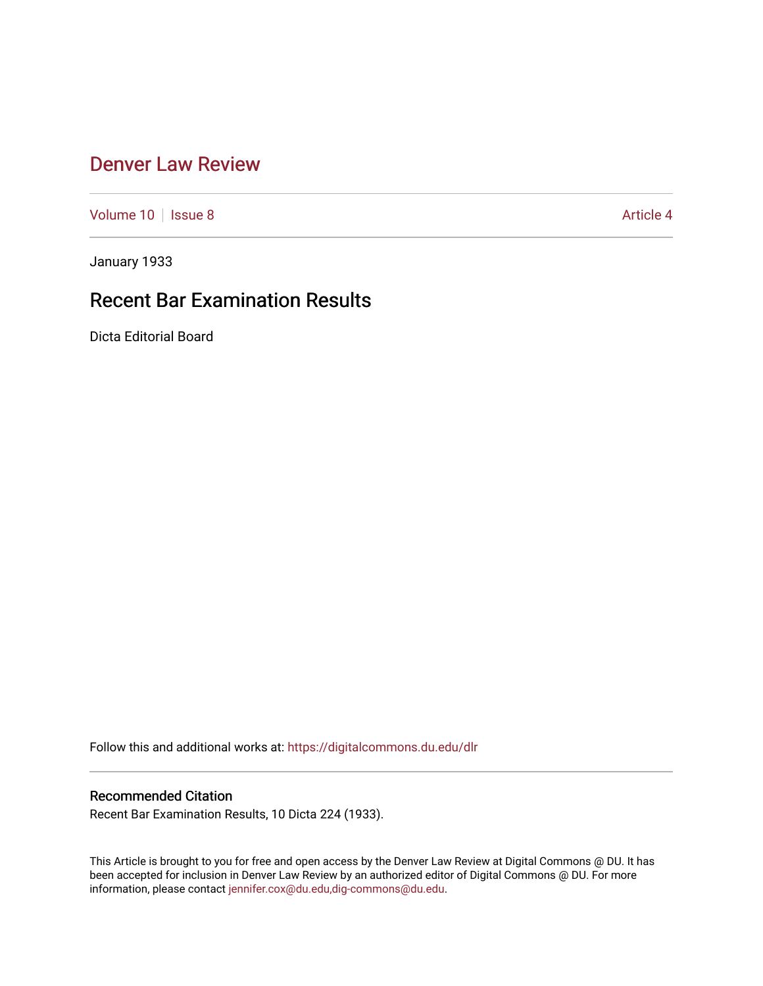## [Denver Law Review](https://digitalcommons.du.edu/dlr)

[Volume 10](https://digitalcommons.du.edu/dlr/vol10) | [Issue 8](https://digitalcommons.du.edu/dlr/vol10/iss8) Article 4

January 1933

# Recent Bar Examination Results

Dicta Editorial Board

Follow this and additional works at: [https://digitalcommons.du.edu/dlr](https://digitalcommons.du.edu/dlr?utm_source=digitalcommons.du.edu%2Fdlr%2Fvol10%2Fiss8%2F4&utm_medium=PDF&utm_campaign=PDFCoverPages) 

### Recommended Citation

Recent Bar Examination Results, 10 Dicta 224 (1933).

This Article is brought to you for free and open access by the Denver Law Review at Digital Commons @ DU. It has been accepted for inclusion in Denver Law Review by an authorized editor of Digital Commons @ DU. For more information, please contact [jennifer.cox@du.edu,dig-commons@du.edu.](mailto:jennifer.cox@du.edu,dig-commons@du.edu)